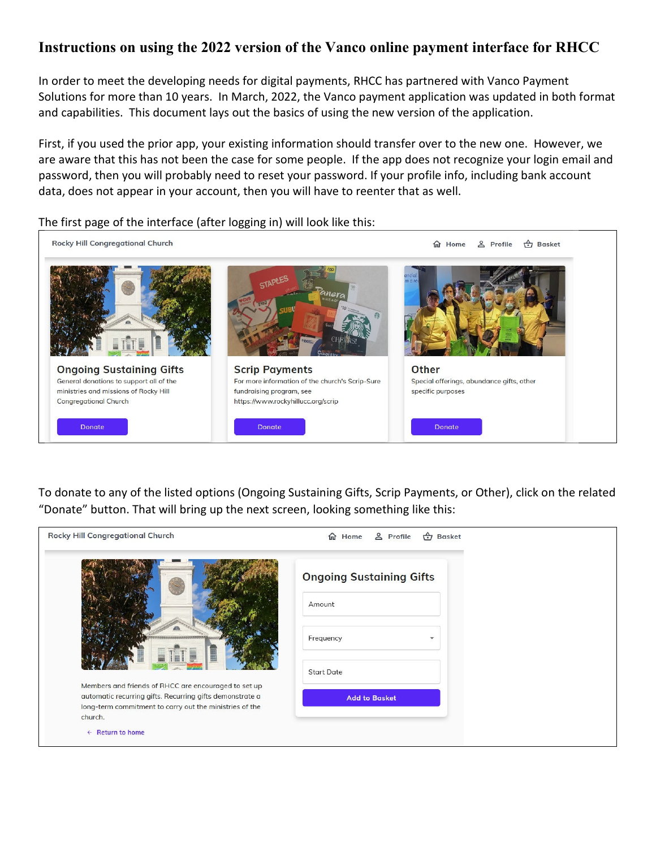## **Instructions on using the 2022 version of the Vanco online payment interface for RHCC**

In order to meet the developing needs for digital payments, RHCC has partnered with Vanco Payment Solutions for more than 10 years. In March, 2022, the Vanco payment application was updated in both format and capabilities. This document lays out the basics of using the new version of the application.

First, if you used the prior app, your existing information should transfer over to the new one. However, we are aware that this has not been the case for some people. If the app does not recognize your login email and password, then you will probably need to reset your password. If your profile info, including bank account data, does not appear in your account, then you will have to reenter that as well.



The first page of the interface (after logging in) will look like this:

To donate to any of the listed options (Ongoing Sustaining Gifts, Scrip Payments, or Other), click on the related "Donate" button. That will bring up the next screen, looking something like this:

| <b>Rocky Hill Congregational Church</b>                                                                                                                                                | <b>←</b> Basket<br>& Profile<br>d Home |
|----------------------------------------------------------------------------------------------------------------------------------------------------------------------------------------|----------------------------------------|
|                                                                                                                                                                                        | <b>Ongoing Sustaining Gifts</b>        |
|                                                                                                                                                                                        | Amount                                 |
|                                                                                                                                                                                        | Frequency                              |
|                                                                                                                                                                                        | <b>Start Date</b>                      |
| Members and friends of RHCC are encouraged to set up<br>automatic recurring gifts. Recurring gifts demonstrate a<br>long-term commitment to carry out the ministries of the<br>church. | <b>Add to Basket</b>                   |
| $\leftarrow$ Return to home                                                                                                                                                            |                                        |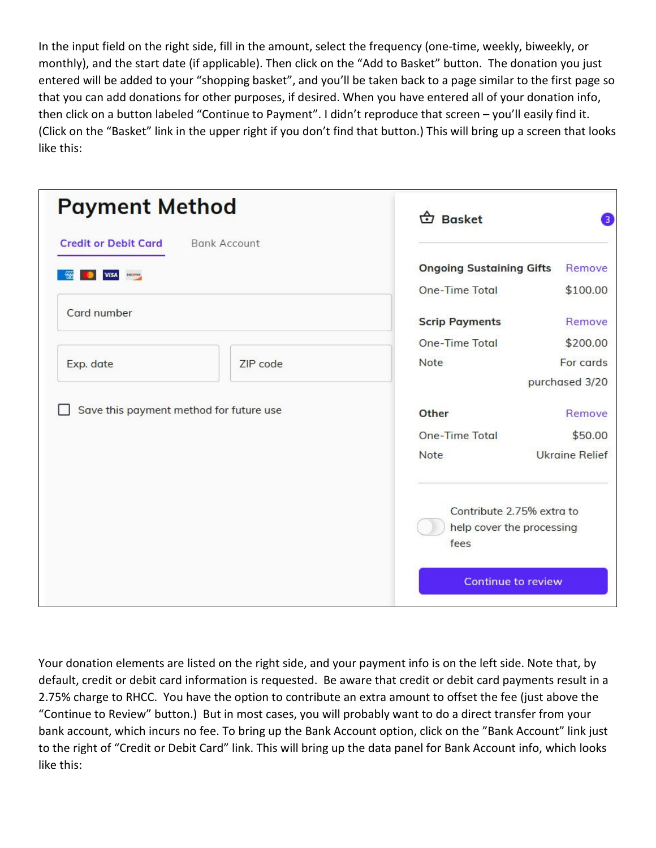In the input field on the right side, fill in the amount, select the frequency (one-time, weekly, biweekly, or monthly), and the start date (if applicable). Then click on the "Add to Basket" button. The donation you just entered will be added to your "shopping basket", and you'll be taken back to a page similar to the first page so that you can add donations for other purposes, if desired. When you have entered all of your donation info, then click on a button labeled "Continue to Payment". I didn't reproduce that screen – you'll easily find it. (Click on the "Basket" link in the upper right if you don't find that button.) This will bring up a screen that looks like this:

| <b>Payment Method</b>                   |                     | <b>b</b> Basket                                                |                       |
|-----------------------------------------|---------------------|----------------------------------------------------------------|-----------------------|
| <b>Credit or Debit Card</b>             | <b>Bank Account</b> |                                                                |                       |
| <b>DISCAVER</b><br><b>VISA</b>          |                     | <b>Ongoing Sustaining Gifts</b>                                | Remove                |
|                                         |                     | <b>One-Time Total</b>                                          | \$100.00              |
| Card number                             |                     | <b>Scrip Payments</b>                                          | Remove                |
|                                         |                     | One-Time Total                                                 | \$200.00              |
| Exp. date                               | ZIP code            | Note                                                           | For cards             |
|                                         |                     |                                                                | purchased 3/20        |
| Save this payment method for future use |                     | Other                                                          | Remove                |
|                                         |                     | <b>One-Time Total</b>                                          | \$50.00               |
|                                         |                     | Note                                                           | <b>Ukraine Relief</b> |
|                                         |                     | Contribute 2.75% extra to<br>help cover the processing<br>fees |                       |
|                                         |                     | <b>Continue to review</b>                                      |                       |

Your donation elements are listed on the right side, and your payment info is on the left side. Note that, by default, credit or debit card information is requested. Be aware that credit or debit card payments result in a 2.75% charge to RHCC. You have the option to contribute an extra amount to offset the fee (just above the "Continue to Review" button.) But in most cases, you will probably want to do a direct transfer from your bank account, which incurs no fee. To bring up the Bank Account option, click on the "Bank Account" link just to the right of "Credit or Debit Card" link. This will bring up the data panel for Bank Account info, which looks like this: